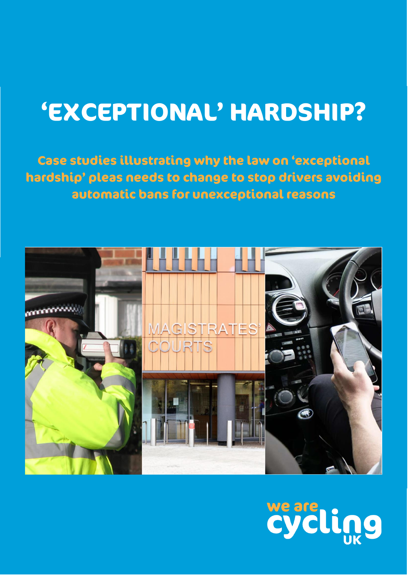# **'EXCEPTIONAL' HARDSHIP?**

**Case studies illustrating why the law on 'exceptional hardship' pleas needs to change to stop drivers avoiding automatic bans for unexceptional reasons**



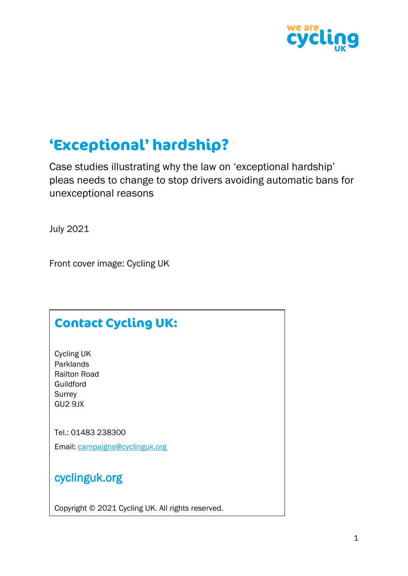

# **'Exceptional' hardship?**

Case studies illustrating why the law on 'exceptional hardship' pleas needs to change to stop drivers avoiding automatic bans for unexceptional reasons

July 2021

Front cover image: Cycling UK

# **Contact Cycling UK:**

Cycling UK Parklands Railton Road Guildford **Surrey** GU2 9JX

Tel.: 01483 238300

Email: [campaigns@cyclinguk.org](mailto:campaigns@cyclinguk.org)

cyclinguk.org

Copyright © 2021 Cycling UK. All rights reserved.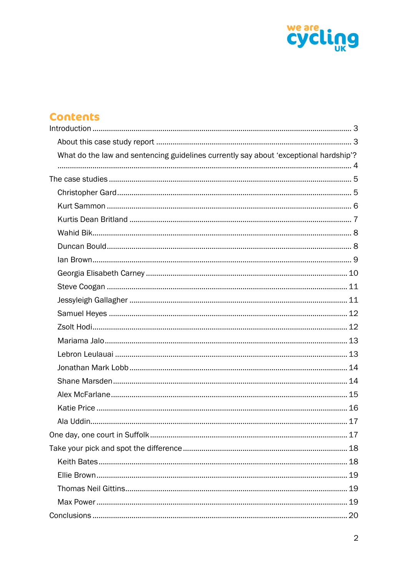

# **Contents**

| What do the law and sentencing guidelines currently say about 'exceptional hardship'? |  |
|---------------------------------------------------------------------------------------|--|
|                                                                                       |  |
|                                                                                       |  |
|                                                                                       |  |
|                                                                                       |  |
|                                                                                       |  |
|                                                                                       |  |
|                                                                                       |  |
|                                                                                       |  |
|                                                                                       |  |
|                                                                                       |  |
|                                                                                       |  |
|                                                                                       |  |
|                                                                                       |  |
|                                                                                       |  |
|                                                                                       |  |
|                                                                                       |  |
|                                                                                       |  |
|                                                                                       |  |
|                                                                                       |  |
|                                                                                       |  |
|                                                                                       |  |
|                                                                                       |  |
|                                                                                       |  |
|                                                                                       |  |
|                                                                                       |  |
|                                                                                       |  |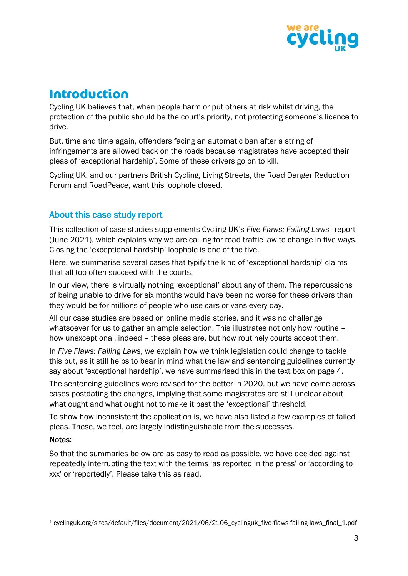

# <span id="page-3-0"></span>**Introduction**

Cycling UK believes that, when people harm or put others at risk whilst driving, the protection of the public should be the court's priority, not protecting someone's licence to drive.

But, time and time again, offenders facing an automatic ban after a string of infringements are allowed back on the roads because magistrates have accepted their pleas of 'exceptional hardship'. Some of these drivers go on to kill.

Cycling UK, and our partners British Cycling, Living Streets, the Road Danger Reduction Forum and RoadPeace, want this loophole closed.

# <span id="page-3-1"></span>About this case study report

This collection of case studies supplements Cycling UK's *Five Flaws: Failing Laws*<sup>1</sup> report (June 2021), which explains why we are calling for road traffic law to change in five ways. Closing the 'exceptional hardship' loophole is one of the five.

Here, we summarise several cases that typify the kind of 'exceptional hardship' claims that all too often succeed with the courts.

In our view, there is virtually nothing 'exceptional' about any of them. The repercussions of being unable to drive for six months would have been no worse for these drivers than they would be for millions of people who use cars or vans every day.

All our case studies are based on online media stories, and it was no challenge whatsoever for us to gather an ample selection. This illustrates not only how routine – how unexceptional, indeed – these pleas are, but how routinely courts accept them.

In *Five Flaws: Failing Laws*, we explain how we think legislation could change to tackle this but, as it still helps to bear in mind what the law and sentencing guidelines currently say about 'exceptional hardship', we have summarised this in the text box on page 4.

The sentencing guidelines were revised for the better in 2020, but we have come across cases postdating the changes, implying that some magistrates are still unclear about what ought and what ought not to make it past the 'exceptional' threshold.

To show how inconsistent the application is, we have also listed a few examples of failed pleas. These, we feel, are largely indistinguishable from the successes.

#### Notes:

So that the summaries below are as easy to read as possible, we have decided against repeatedly interrupting the text with the terms 'as reported in the press' or 'according to xxx' or 'reportedly'. Please take this as read.

<sup>1</sup> cyclinguk.org/sites/default/files/document/2021/06/2106\_cyclinguk\_five-flaws-failing-laws\_final\_1.pdf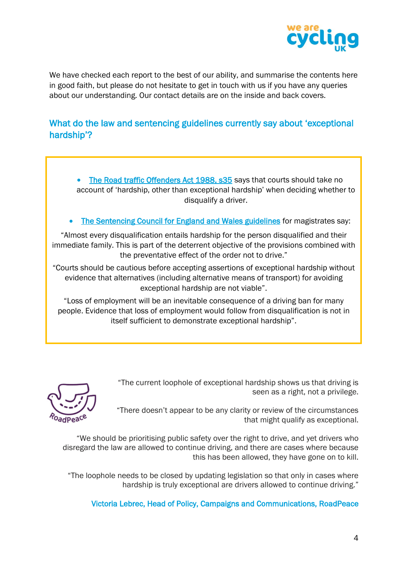

We have checked each report to the best of our ability, and summarise the contents here in good faith, but please do not hesitate to get in touch with us if you have any queries about our understanding. Our contact details are on the inside and back covers.

# <span id="page-4-0"></span>What do the law and sentencing guidelines currently say about 'exceptional hardship'?

• [The Road traffic Offenders Act 1988, s35](file:///C:/Users/Cherry/Documents/Cycling%20UK/legislation.gov.uk/ukpga/1988/53/part/II/crossheading/disqualification) says that courts should take no account of 'hardship, other than exceptional hardship' when deciding whether to disqualify a driver.

[The Sentencing Council for England and Wales guidelines](file:///C:/Users/Cherry/Documents/Cycling%20UK/sentencingcouncil.org.uk/explanatory-material/magistrates-court/item/road-traffic-offences-disqualification/3-totting-up-disqualification/) for magistrates say:

"Almost every disqualification entails hardship for the person disqualified and their immediate family. This is part of the deterrent objective of the provisions combined with the preventative effect of the order not to drive."

"Courts should be cautious before accepting assertions of exceptional hardship without evidence that alternatives (including alternative means of transport) for avoiding exceptional hardship are not viable".

"Loss of employment will be an inevitable consequence of a driving ban for many people. Evidence that loss of employment would follow from disqualification is not in itself sufficient to demonstrate exceptional hardship".

> "The current loophole of exceptional hardship shows us that driving is seen as a right, not a privilege.



"There doesn't appear to be any clarity or review of the circumstances that might qualify as exceptional.

"We should be prioritising public safety over the right to drive, and yet drivers who disregard the law are allowed to continue driving, and there are cases where because this has been allowed, they have gone on to kill.

"The loophole needs to be closed by updating legislation so that only in cases where hardship is truly exceptional are drivers allowed to continue driving."

Victoria Lebrec, Head of Policy, Campaigns and Communications, RoadPeace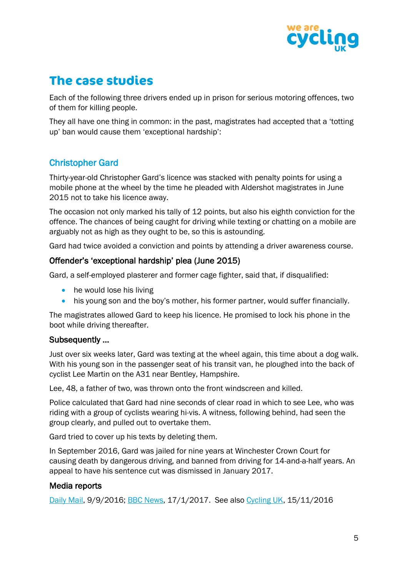

# <span id="page-5-0"></span>**The case studies**

Each of the following three drivers ended up in prison for serious motoring offences, two of them for killing people.

They all have one thing in common: in the past, magistrates had accepted that a 'totting up' ban would cause them 'exceptional hardship':

# <span id="page-5-1"></span>Christopher Gard

Thirty-year-old Christopher Gard's licence was stacked with penalty points for using a mobile phone at the wheel by the time he pleaded with Aldershot magistrates in June 2015 not to take his licence away.

The occasion not only marked his tally of 12 points, but also his eighth conviction for the offence. The chances of being caught for driving while texting or chatting on a mobile are arguably not as high as they ought to be, so this is astounding.

Gard had twice avoided a conviction and points by attending a driver awareness course.

## Offender's 'exceptional hardship' plea (June 2015)

Gard, a self-employed plasterer and former cage fighter, said that, if disqualified:

- he would lose his living
- his young son and the boy's mother, his former partner, would suffer financially.

The magistrates allowed Gard to keep his licence. He promised to lock his phone in the boot while driving thereafter.

#### Subsequently …

Just over six weeks later, Gard was texting at the wheel again, this time about a dog walk. With his young son in the passenger seat of his transit van, he ploughed into the back of cyclist Lee Martin on the A31 near Bentley, Hampshire.

Lee, 48, a father of two, was thrown onto the front windscreen and killed.

Police calculated that Gard had nine seconds of clear road in which to see Lee, who was riding with a group of cyclists wearing hi-vis. A witness, following behind, had seen the group clearly, and pulled out to overtake them.

Gard tried to cover up his texts by deleting them.

In September 2016, Gard was jailed for nine years at Winchester Crown Court for causing death by dangerous driving, and banned from driving for 14-and-a-half years. An appeal to have his sentence cut was dismissed in January 2017.

# Media reports

[Daily Mail,](https://www.dailymail.co.uk/news/article-3782511/Road-madness-Cage-fighter-mowed-cyclist-phone-EIGHT-previous-convictions-texting-wheel-DID-courts-allow-van-kill-innocent-father.html) 9/9/2016; [BBC News,](https://www.bbc.co.uk/news/uk-england-hampshire-38648736) 17/1/2017. See also [Cycling UK,](https://www.cyclinguk.org/news/20161115-groundhog-day-gard-texting-driver-pleads-leniency) 15/11/2016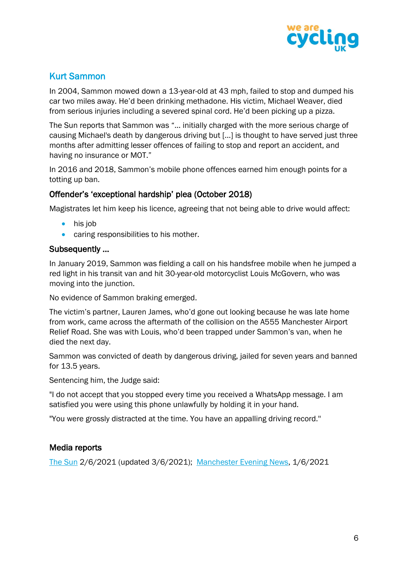

# <span id="page-6-0"></span>Kurt Sammon

In 2004, Sammon mowed down a 13-year-old at 43 mph, failed to stop and dumped his car two miles away. He'd been drinking methadone. His victim, Michael Weaver, died from serious injuries including a severed spinal cord. He'd been picking up a pizza.

The Sun reports that Sammon was "… initially charged with the more serious charge of causing Michael's death by dangerous driving but […] is thought to have served just three months after admitting lesser offences of failing to stop and report an accident, and having no insurance or MOT."

In 2016 and 2018, Sammon's mobile phone offences earned him enough points for a totting up ban.

# Offender's 'exceptional hardship' plea (October 2018)

Magistrates let him keep his licence, agreeing that not being able to drive would affect:

- his job
- caring responsibilities to his mother.

# Subsequently …

In January 2019, Sammon was fielding a call on his handsfree mobile when he jumped a red light in his transit van and hit 30-year-old motorcyclist Louis McGovern, who was moving into the junction.

No evidence of Sammon braking emerged.

The victim's partner, Lauren James, who'd gone out looking because he was late home from work, came across the aftermath of the collision on the A555 Manchester Airport Relief Road. She was with Louis, who'd been trapped under Sammon's van, when he died the next day.

Sammon was convicted of death by dangerous driving, jailed for seven years and banned for 13.5 years.

Sentencing him, the Judge said:

"I do not accept that you stopped every time you received a WhatsApp message. I am satisfied you were using this phone unlawfully by holding it in your hand.

"You were grossly distracted at the time. You have an appalling driving record.''

# Media reports

[The Sun](https://www.thesun.co.uk/news/15145805/woman-discovers-boyfriend-dead-crash-commute/) 2/6/2021 (updated 3/6/2021); [Manchester Evening News,](https://www.manchestereveningnews.co.uk/news/greater-manchester-news/kurt-sammon-louis-mcgovern-court-20719159) 1/6/2021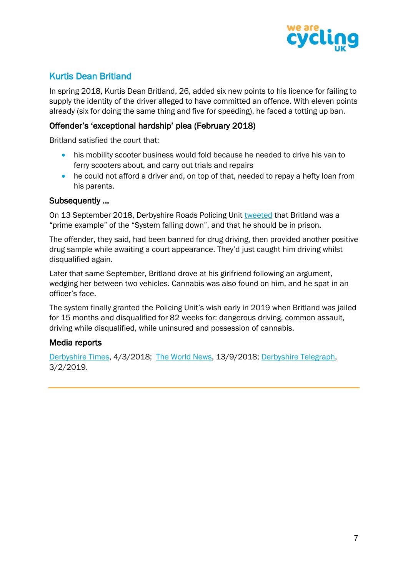

# <span id="page-7-0"></span>Kurtis Dean Britland

In spring 2018, Kurtis Dean Britland, 26, added six new points to his licence for failing to supply the identity of the driver alleged to have committed an offence. With eleven points already (six for doing the same thing and five for speeding), he faced a totting up ban.

## Offender's 'exceptional hardship' plea (February 2018)

Britland satisfied the court that:

- his mobility scooter business would fold because he needed to drive his van to ferry scooters about, and carry out trials and repairs
- he could not afford a driver and, on top of that, needed to repay a hefty loan from his parents.

#### Subsequently …

On 13 September 2018, Derbyshire Roads Policing Unit [tweeted](https://twitter.com/DerbyshireRPU/status/1040218510604095488) that Britland was a "prime example" of the "System falling down", and that he should be in prison.

The offender, they said, had been banned for drug driving, then provided another positive drug sample while awaiting a court appearance. They'd just caught him driving whilst disqualified again.

Later that same September, Britland drove at his girlfriend following an argument, wedging her between two vehicles. Cannabis was also found on him, and he spat in an officer's face.

The system finally granted the Policing Unit's wish early in 2019 when Britland was jailed for 15 months and disqualified for 82 weeks for: dangerous driving, common assault, driving while disqualified, while uninsured and possession of cannabis.

#### Media reports

[Derbyshire Times,](https://www.derbyshiretimes.co.uk/news/judge-spares-motoring-offender-driving-ban-save-his-business-49356) 4/3/2018; [The World News,](https://twnews.co.uk/gb-news/latest-chesterfield-magistrates-court-results-including-north-and-mid-derbyshire-and-the-peak) 13/9/2018; [Derbyshire Telegraph,](https://www.derbytelegraph.co.uk/news/local-news/thug-drove-girlfriend-after-row-2491790) 3/2/2019.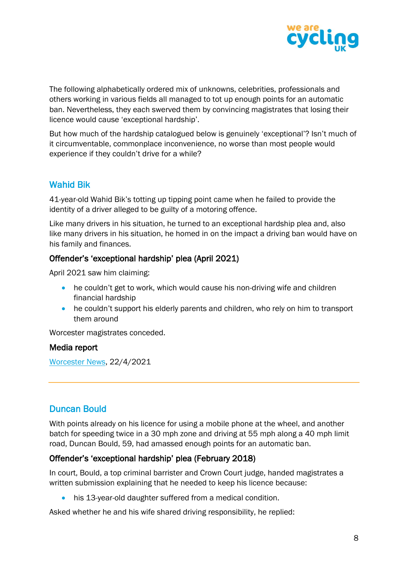

The following alphabetically ordered mix of unknowns, celebrities, professionals and others working in various fields all managed to tot up enough points for an automatic ban. Nevertheless, they each swerved them by convincing magistrates that losing their licence would cause 'exceptional hardship'.

But how much of the hardship catalogued below is genuinely 'exceptional'? Isn't much of it circumventable, commonplace inconvenience, no worse than most people would experience if they couldn't drive for a while?

# <span id="page-8-0"></span>Wahid Bik

41-year-old Wahid Bik's totting up tipping point came when he failed to provide the identity of a driver alleged to be guilty of a motoring offence.

Like many drivers in his situation, he turned to an exceptional hardship plea and, also like many drivers in his situation, he homed in on the impact a driving ban would have on his family and finances.

# Offender's 'exceptional hardship' plea (April 2021)

April 2021 saw him claiming:

- he couldn't get to work, which would cause his non-driving wife and children financial hardship
- he couldn't support his elderly parents and children, who rely on him to transport them around

Worcester magistrates conceded.

#### Media report

[Worcester News,](https://www.worcesternews.co.uk/news/19249746.magistrates-allow-man-enough-points-get-driving-ban-stay-road/) 22/4/2021

# <span id="page-8-1"></span>Duncan Bould

With points already on his licence for using a mobile phone at the wheel, and another batch for speeding twice in a 30 mph zone and driving at 55 mph along a 40 mph limit road, Duncan Bould, 59, had amassed enough points for an automatic ban.

# Offender's 'exceptional hardship' plea (February 2018)

In court, Bould, a top criminal barrister and Crown Court judge, handed magistrates a written submission explaining that he needed to keep his licence because:

• his 13-year-old daughter suffered from a medical condition.

Asked whether he and his wife shared driving responsibility, he replied: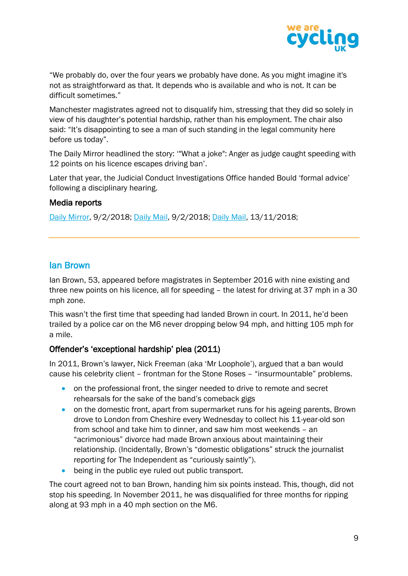

"We probably do, over the four years we probably have done. As you might imagine it's not as straightforward as that. It depends who is available and who is not. It can be difficult sometimes."

Manchester magistrates agreed not to disqualify him, stressing that they did so solely in view of his daughter's potential hardship, rather than his employment. The chair also said: "It's disappointing to see a man of such standing in the legal community here before us today".

The Daily Mirror headlined the story: '"What a joke": Anger as judge caught speeding with 12 points on his licence escapes driving ban'.

Later that year, the Judicial Conduct Investigations Office handed Bould 'formal advice' following a disciplinary hearing.

#### Media reports

[Daily Mirror,](https://www.mirror.co.uk/news/uk-news/what-joke-anger-judge-caught-11999934) 9/2/2018; [Daily Mail,](https://www.dailymail.co.uk/news/article-5373349/Barrister-avoids-driving-ban-despite-offence.htm) 9/2/2018; [Daily Mail,](https://www.dailymail.co.uk/news/article-6382565/Judge-racked-12-points-driving-licence-spared-ban-magistrates.html) 13/11/2018;

# <span id="page-9-0"></span>Ian Brown

Ian Brown, 53, appeared before magistrates in September 2016 with nine existing and three new points on his licence, all for speeding – the latest for driving at 37 mph in a 30 mph zone.

This wasn't the first time that speeding had landed Brown in court. In 2011, he'd been trailed by a police car on the M6 never dropping below 94 mph, and hitting 105 mph for a mile.

# Offender's 'exceptional hardship' plea (2011)

In 2011, Brown's lawyer, Nick Freeman (aka 'Mr Loophole'), argued that a ban would cause his celebrity client – frontman for the Stone Roses – "insurmountable" problems.

- on the professional front, the singer needed to drive to remote and secret rehearsals for the sake of the band's comeback gigs
- on the domestic front, apart from supermarket runs for his ageing parents, Brown drove to London from Cheshire every Wednesday to collect his 11-year-old son from school and take him to dinner, and saw him most weekends – an "acrimonious" divorce had made Brown anxious about maintaining their relationship. (Incidentally, Brown's "domestic obligations" struck the journalist reporting for The Independent as "curiously saintly").
- being in the public eve ruled out public transport.

The court agreed not to ban Brown, handing him six points instead. This, though, did not stop his speeding. In November 2011, he was disqualified for three months for ripping along at 93 mph in a 40 mph section on the M6.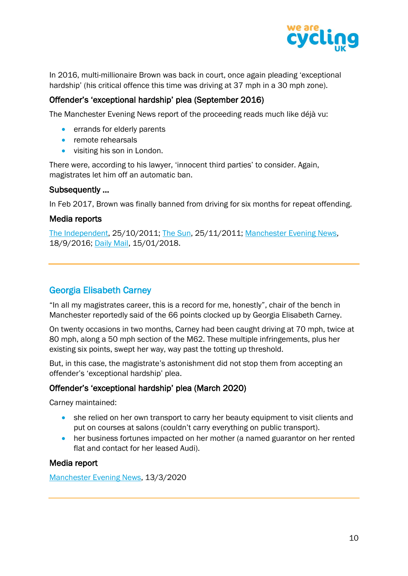

In 2016, multi-millionaire Brown was back in court, once again pleading 'exceptional hardship' (his critical offence this time was driving at 37 mph in a 30 mph zone).

# Offender's 'exceptional hardship' plea (September 2016)

The Manchester Evening News report of the proceeding reads much like déjà vu:

- errands for elderly parents
- remote rehearsals
- visiting his son in London.

There were, according to his lawyer, 'innocent third parties' to consider. Again, magistrates let him off an automatic ban.

#### Subsequently …

In Feb 2017, Brown was finally banned from driving for six months for repeat offending.

#### Media reports

[The Independent,](https://www.independent.co.uk/news/uk/crime/model-citizen-ian-brown-escapes-driving-ban-2375520.html) 25/10/2011; [The Sun,](https://www.thesun.co.uk/archives/news/932477/stone-roses-star-ian-brown-did-93mph-in-40-zone/) 25/11/2011; [Manchester Evening News,](https://www.manchestereveningnews.co.uk/news/greater-manchester-news/ian-brown-escapes-driving-ban-11902311) 18/9/2016; [Daily Mail,](https://www.dailymail.co.uk/news/article-5270405/Ian-Brown-banned-driving-caught-speeding.html) 15/01/2018.

# <span id="page-10-0"></span>Georgia Elisabeth Carney

"In all my magistrates career, this is a record for me, honestly", chair of the bench in Manchester reportedly said of the 66 points clocked up by Georgia Elisabeth Carney.

On twenty occasions in two months, Carney had been caught driving at 70 mph, twice at 80 mph, along a 50 mph section of the M62. These multiple infringements, plus her existing six points, swept her way, way past the totting up threshold.

But, in this case, the magistrate's astonishment did not stop them from accepting an offender's 'exceptional hardship' plea.

#### Offender's 'exceptional hardship' plea (March 2020)

Carney maintained:

- she relied on her own transport to carry her beauty equipment to visit clients and put on courses at salons (couldn't carry everything on public transport).
- her business fortunes impacted on her mother (a named guarantor on her rented flat and contact for her leased Audi).

#### Media report

[Manchester Evening News,](https://www.manchestereveningnews.co.uk/news/greater-manchester-news/audi-driving-beautician-clocked-speeding-17919991) 13/3/2020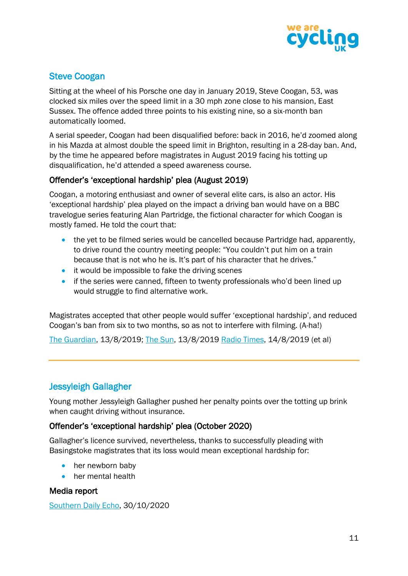

# <span id="page-11-0"></span>Steve Coogan

Sitting at the wheel of his Porsche one day in January 2019, Steve Coogan, 53, was clocked six miles over the speed limit in a 30 mph zone close to his mansion, East Sussex. The offence added three points to his existing nine, so a six-month ban automatically loomed.

A serial speeder, Coogan had been disqualified before: back in 2016, he'd zoomed along in his Mazda at almost double the speed limit in Brighton, resulting in a 28-day ban. And, by the time he appeared before magistrates in August 2019 facing his totting up disqualification, he'd attended a speed awareness course.

# Offender's 'exceptional hardship' plea (August 2019)

Coogan, a motoring enthusiast and owner of several elite cars, is also an actor. His 'exceptional hardship' plea played on the impact a driving ban would have on a BBC travelogue series featuring Alan Partridge, the fictional character for which Coogan is mostly famed. He told the court that:

- the vet to be filmed series would be cancelled because Partridge had, apparently, to drive round the country meeting people: "You couldn't put him on a train because that is not who he is. It's part of his character that he drives."
- it would be impossible to fake the driving scenes
- if the series were canned, fifteen to twenty professionals who'd been lined up would struggle to find alternative work.

Magistrates accepted that other people would suffer 'exceptional hardship', and reduced Coogan's ban from six to two months, so as not to interfere with filming. (A-ha!)

[The Guardian,](https://www.theguardian.com/culture/2019/aug/13/alan-partridge-saves-steve-coogan-from-lengthy-driving-ban) 13/8/2019; [The Sun,](https://www.thesun.co.uk/news/9712453/steve-coogan-swerves-lengthy-driving-ban-speeding/) 13/8/2019 [Radio Times,](https://www.radiotimes.com/news/tv/2019-08-14/steve-coogan-swerves-lengthy-driving-ban-thanks-to-alan-partridge/) 14/8/2019 (et al)

# <span id="page-11-1"></span>Jessyleigh Gallagher

Young mother Jessyleigh Gallagher pushed her penalty points over the totting up brink when caught driving without insurance.

# Offender's 'exceptional hardship' plea (October 2020)

Gallagher's licence survived, nevertheless, thanks to successfully pleading with Basingstoke magistrates that its loss would mean exceptional hardship for:

- her newborn baby
- her mental health

#### Media report

[Southern Daily Echo,](https://www.dailyecho.co.uk/news/18833088.young-mother-spared-driving-ban-impact-mental-health-newborn-baby/) 30/10/2020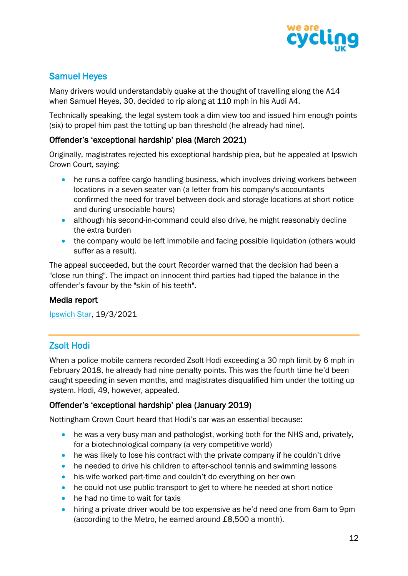

# <span id="page-12-0"></span>Samuel Heyes

Many drivers would understandably quake at the thought of travelling along the A14 when Samuel Heyes, 30, decided to rip along at 110 mph in his Audi A4.

Technically speaking, the legal system took a dim view too and issued him enough points (six) to propel him past the totting up ban threshold (he already had nine).

# Offender's 'exceptional hardship' plea (March 2021)

Originally, magistrates rejected his exceptional hardship plea, but he appealed at Ipswich Crown Court, saying:

- he runs a coffee cargo handling business, which involves driving workers between locations in a seven-seater van (a letter from his company's accountants confirmed the need for travel between dock and storage locations at short notice and during unsociable hours)
- although his second-in-command could also drive, he might reasonably decline the extra burden
- the company would be left immobile and facing possible liquidation (others would suffer as a result).

The appeal succeeded, but the court Recorder warned that the decision had been a "close run thing". The impact on innocent third parties had tipped the balance in the offender's favour by the "skin of his teeth".

# Media report

[Ipswich Star,](https://www.ipswichstar.co.uk/news/crime/felixstowe-coffee-cargo-boss-samuel-heyes-spared-ban-7836612) 19/3/2021

# <span id="page-12-1"></span>Zsolt Hodi

When a police mobile camera recorded Zsolt Hodi exceeding a 30 mph limit by 6 mph in February 2018, he already had nine penalty points. This was the fourth time he'd been caught speeding in seven months, and magistrates disqualified him under the totting up system. Hodi, 49, however, appealed.

# Offender's 'exceptional hardship' plea (January 2019)

Nottingham Crown Court heard that Hodi's car was an essential because:

- he was a very busy man and pathologist, working both for the NHS and, privately, for a biotechnological company (a very competitive world)
- he was likely to lose his contract with the private company if he couldn't drive
- he needed to drive his children to after-school tennis and swimming lessons
- his wife worked part-time and couldn't do everything on her own
- he could not use public transport to get to where he needed at short notice
- he had no time to wait for taxis
- hiring a private driver would be too expensive as he'd need one from 6am to 9pm (according to the Metro, he earned around £8,500 a month).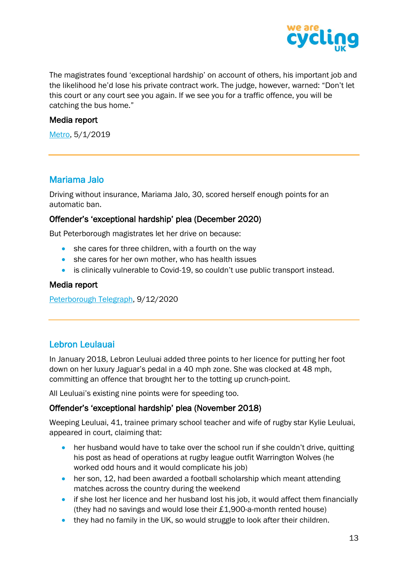

The magistrates found 'exceptional hardship' on account of others, his important job and the likelihood he'd lose his private contract work. The judge, however, warned: "Don't let this court or any court see you again. If we see you for a traffic offence, you will be catching the bus home."

#### Media report

[Metro,](https://metro.co.uk/2019/01/05/doctor-caught-speeding-driving-ban-lifted-can-take-children-tennis-8313936/) 5/1/2019

# <span id="page-13-0"></span>Mariama Jalo

Driving without insurance, Mariama Jalo, 30, scored herself enough points for an automatic ban.

#### Offender's 'exceptional hardship' plea (December 2020)

But Peterborough magistrates let her drive on because:

- she cares for three children, with a fourth on the way
- she cares for her own mother, who has health issues
- is clinically vulnerable to Covid-19, so couldn't use public transport instead.

#### Media report

[Peterborough Telegraph,](https://www.peterboroughtoday.co.uk/news/crime/peterborough-driver-avoids-ban-she-and-mum-are-vulnerable-covid-3061513) 9/12/2020

# <span id="page-13-1"></span>Lebron Leulauai

In January 2018, Lebron Leuluai added three points to her licence for putting her foot down on her luxury Jaguar's pedal in a 40 mph zone. She was clocked at 48 mph, committing an offence that brought her to the totting up crunch-point.

All Leuluai's existing nine points were for speeding too.

# Offender's 'exceptional hardship' plea (November 2018)

Weeping Leuluai, 41, trainee primary school teacher and wife of rugby star Kylie Leuluai, appeared in court, claiming that:

- her husband would have to take over the school run if she couldn't drive, quitting his post as head of operations at rugby league outfit Warrington Wolves (he worked odd hours and it would complicate his job)
- her son, 12, had been awarded a football scholarship which meant attending matches across the country during the weekend
- if she lost her licence and her husband lost his job, it would affect them financially (they had no savings and would lose their £1,900-a-month rented house)
- they had no family in the UK, so would struggle to look after their children.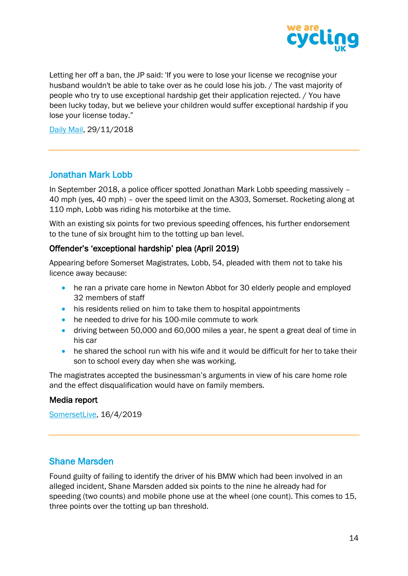

Letting her off a ban, the JP said: 'If you were to lose your license we recognise your husband wouldn't be able to take over as he could lose his job. / The vast majority of people who try to use exceptional hardship get their application rejected. / You have been lucky today, but we believe your children would suffer exceptional hardship if you lose your license today."

[Daily Mail,](https://www.dailymail.co.uk/news/article-6441507/Kylie-Leuluais-wife-avoids-driving-ban-speeding-luxury-Jaguar.htm) 29/11/2018

# <span id="page-14-0"></span>Jonathan Mark Lobb

In September 2018, a police officer spotted Jonathan Mark Lobb speeding massively – 40 mph (yes, 40 mph) – over the speed limit on the A303, Somerset. Rocketing along at 110 mph, Lobb was riding his motorbike at the time.

With an existing six points for two previous speeding offences, his further endorsement to the tune of six brought him to the totting up ban level.

# Offender's 'exceptional hardship' plea (April 2019)

Appearing before Somerset Magistrates, Lobb, 54, pleaded with them not to take his licence away because:

- he ran a private care home in Newton Abbot for 30 elderly people and employed 32 members of staff
- his residents relied on him to take them to hospital appointments
- he needed to drive for his 100-mile commute to work
- driving between 50,000 and 60,000 miles a year, he spent a great deal of time in his car
- he shared the school run with his wife and it would be difficult for her to take their son to school every day when she was working.

The magistrates accepted the businessman's arguments in view of his care home role and the effect disqualification would have on family members.

#### Media report

[SomersetLive,](https://www.somersetlive.co.uk/news/somerset-news/motorcyclist-caught-doing-110mph-a303-2764090) 16/4/2019

# <span id="page-14-1"></span>Shane Marsden

Found guilty of failing to identify the driver of his BMW which had been involved in an alleged incident, Shane Marsden added six points to the nine he already had for speeding (two counts) and mobile phone use at the wheel (one count). This comes to 15, three points over the totting up ban threshold.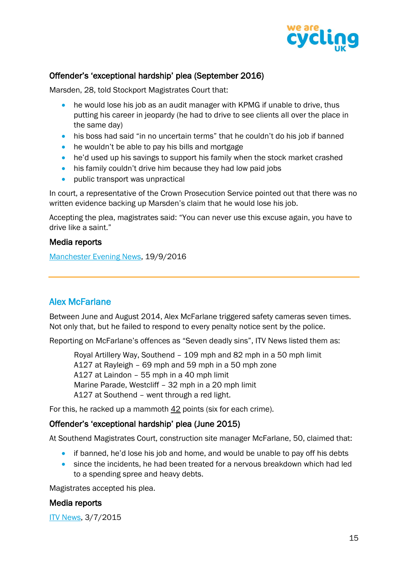

# Offender's 'exceptional hardship' plea (September 2016)

Marsden, 28, told Stockport Magistrates Court that:

- he would lose his job as an audit manager with KPMG if unable to drive, thus putting his career in jeopardy (he had to drive to see clients all over the place in the same day)
- his boss had said "in no uncertain terms" that he couldn't do his job if banned
- he wouldn't be able to pay his bills and mortgage
- he'd used up his savings to support his family when the stock market crashed
- his family couldn't drive him because they had low paid jobs
- public transport was unpractical

In court, a representative of the Crown Prosecution Service pointed out that there was no written evidence backing up Marsden's claim that he would lose his job.

Accepting the plea, magistrates said: "You can never use this excuse again, you have to drive like a saint."

#### Media reports

[Manchester Evening News,](https://www.manchestereveningnews.co.uk/news/greater-manchester-news/high-flying-accountant-15-penalty-11905272) 19/9/2016

# <span id="page-15-0"></span>Alex McFarlane

Between June and August 2014, Alex McFarlane triggered safety cameras seven times. Not only that, but he failed to respond to every penalty notice sent by the police.

Reporting on McFarlane's offences as "Seven deadly sins", ITV News listed them as:

Royal Artillery Way, Southend – 109 mph and 82 mph in a 50 mph limit A127 at Rayleigh – 69 mph and 59 mph in a 50 mph zone A127 at Laindon – 55 mph in a 40 mph limit Marine Parade, Westcliff – 32 mph in a 20 mph limit A127 at Southend – went through a red light.

For this, he racked up a mammoth 42 points (six for each crime).

#### Offender's 'exceptional hardship' plea (June 2015)

At Southend Magistrates Court, construction site manager McFarlane, 50, claimed that:

- if banned, he'd lose his job and home, and would be unable to pay off his debts
- since the incidents, he had been treated for a nervous breakdown which had led to a spending spree and heavy debts.

Magistrates accepted his plea.

#### Media reports

[ITV News,](https://www.itv.com/news/anglia/2015-07-03/seven-deadly-sins-speeding-driver-caught-on-camera-repeatedly-gets-42-points-but-escapes-a-ban/) 3/7/2015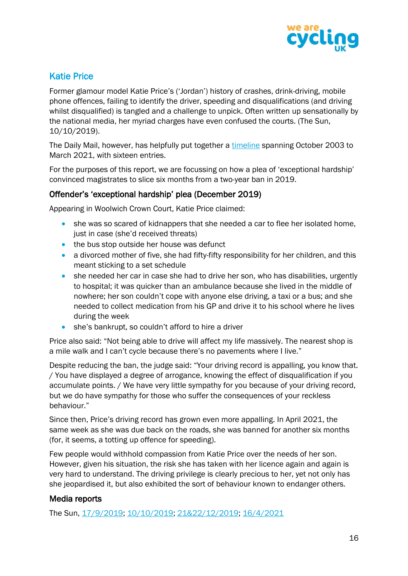

# <span id="page-16-0"></span>Katie Price

Former glamour model Katie Price's ('Jordan') history of crashes, drink-driving, mobile phone offences, failing to identify the driver, speeding and disqualifications (and driving whilst disqualified) is tangled and a challenge to unpick. Often written up sensationally by the national media, her myriad charges have even confused the courts. (The Sun, 10/10/2019).

The Daily Mail, however, has helpfully put together a [timeline](https://www.dailymail.co.uk/tvshowbiz/article-9380989/Katie-Price-shares-loved-snap-boyfriend-Carl-Woods-appearing-confirm-shes-pregnant.html) spanning October 2003 to March 2021, with sixteen entries.

For the purposes of this report, we are focussing on how a plea of 'exceptional hardship' convinced magistrates to slice six months from a two-year ban in 2019.

# Offender's 'exceptional hardship' plea (December 2019)

Appearing in Woolwich Crown Court, Katie Price claimed:

- she was so scared of kidnappers that she needed a car to flee her isolated home, just in case (she'd received threats)
- the bus stop outside her house was defunct
- a divorced mother of five, she had fifty-fifty responsibility for her children, and this meant sticking to a set schedule
- she needed her car in case she had to drive her son, who has disabilities, urgently to hospital; it was quicker than an ambulance because she lived in the middle of nowhere; her son couldn't cope with anyone else driving, a taxi or a bus; and she needed to collect medication from his GP and drive it to his school where he lives during the week
- she's bankrupt, so couldn't afford to hire a driver

Price also said: "Not being able to drive will affect my life massively. The nearest shop is a mile walk and I can't cycle because there's no pavements where I live."

Despite reducing the ban, the judge said: "Your driving record is appalling, you know that. / You have displayed a degree of arrogance, knowing the effect of disqualification if you accumulate points. / We have very little sympathy for you because of your driving record, but we do have sympathy for those who suffer the consequences of your reckless behaviour."

Since then, Price's driving record has grown even more appalling. In April 2021, the same week as she was due back on the roads, she was banned for another six months (for, it seems, a totting up offence for speeding).

Few people would withhold compassion from Katie Price over the needs of her son. However, given his situation, the risk she has taken with her licence again and again is very hard to understand. The driving privilege is clearly precious to her, yet not only has she jeopardised it, but also exhibited the sort of behaviour known to endanger others.

# Media reports

The Sun, [17/9/2019;](https://www.thesun.co.uk/tvandshowbiz/9944304/katie-price-driving-phone-dog/) [10/10/2019;](https://www.thesun.co.uk/tvandshowbiz/10107167/katie-price-banned-driving/) [21&22/12/2019;](https://www.thesun.co.uk/tvandshowbiz/10603786/katie-price-fourth-kidnap-threat/) [16/4/2021](https://www.thesun.co.uk/tvandshowbiz/14666394/katie-price-banned-driving-another-six-months/)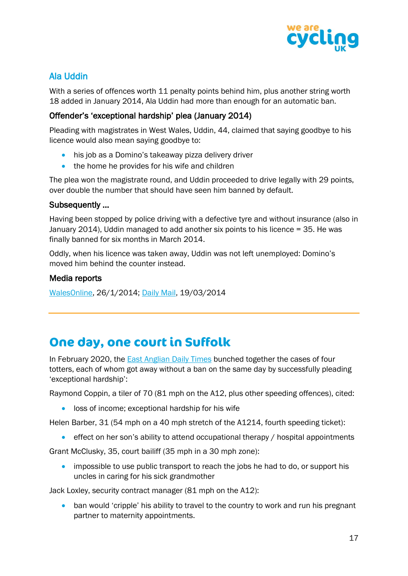

# <span id="page-17-0"></span>Ala Uddin

With a series of offences worth 11 penalty points behind him, plus another string worth 18 added in January 2014, Ala Uddin had more than enough for an automatic ban.

# Offender's 'exceptional hardship' plea (January 2014)

Pleading with magistrates in West Wales, Uddin, 44, claimed that saying goodbye to his licence would also mean saying goodbye to:

- his job as a Domino's takeaway pizza delivery driver
- the home he provides for his wife and children

The plea won the magistrate round, and Uddin proceeded to drive legally with 29 points, over double the number that should have seen him banned by default.

## Subsequently …

Having been stopped by police driving with a defective tyre and without insurance (also in January 2014), Uddin managed to add another six points to his licence = 35. He was finally banned for six months in March 2014.

Oddly, when his licence was taken away, Uddin was not left unemployed: Domino's moved him behind the counter instead.

## Media reports

[WalesOnline,](https://www.walesonline.co.uk/news/wales-news/magistrates-criticised-letting-driver-28-6593770) 26/1/2014; [Daily Mail,](https://www.dailymail.co.uk/news/article-2584165/Dominos-pizza-driver-35-points-licence-finally-banned-exposed-convicted-child-murderer-stabbed-schoolboy-death.html) 19/03/2014

# <span id="page-17-1"></span>**One day, one court in Suffolk**

In February 2020, the [East Anglian Daily Times](https://www.eadt.co.uk/news/speeding-suffolk-drivers-avoid-disqualification-with-12-points-on-licence-2653516) bunched together the cases of four totters, each of whom got away without a ban on the same day by successfully pleading 'exceptional hardship':

Raymond Coppin, a tiler of 70 (81 mph on the A12, plus other speeding offences), cited:

• loss of income; exceptional hardship for his wife

Helen Barber, 31 (54 mph on a 40 mph stretch of the A1214, fourth speeding ticket):

• effect on her son's ability to attend occupational therapy / hospital appointments

Grant McClusky, 35, court bailiff (35 mph in a 30 mph zone):

• impossible to use public transport to reach the jobs he had to do, or support his uncles in caring for his sick grandmother

Jack Loxley, security contract manager (81 mph on the A12):

• ban would 'cripple' his ability to travel to the country to work and run his pregnant partner to maternity appointments.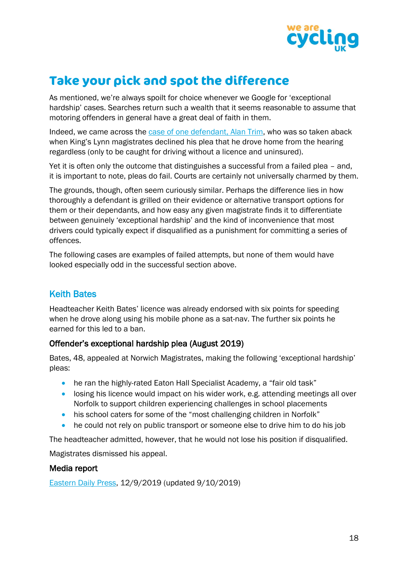

# <span id="page-18-0"></span>**Take your pick and spot the difference**

As mentioned, we're always spoilt for choice whenever we Google for 'exceptional hardship' cases. Searches return such a wealth that it seems reasonable to assume that motoring offenders in general have a great deal of faith in them.

Indeed, we came across the [case of one defendant, Alan Trim,](https://www.edp24.co.uk/news/alan-trim-driving-ban-at-lynn-court-8087266) who was so taken aback when King's Lynn magistrates declined his plea that he drove home from the hearing regardless (only to be caught for driving without a licence and uninsured).

Yet it is often only the outcome that distinguishes a successful from a failed plea – and, it is important to note, pleas do fail. Courts are certainly not universally charmed by them.

The grounds, though, often seem curiously similar. Perhaps the difference lies in how thoroughly a defendant is grilled on their evidence or alternative transport options for them or their dependants, and how easy any given magistrate finds it to differentiate between genuinely 'exceptional hardship' and the kind of inconvenience that most drivers could typically expect if disqualified as a punishment for committing a series of offences.

The following cases are examples of failed attempts, but none of them would have looked especially odd in the successful section above.

# <span id="page-18-1"></span>Keith Bates

Headteacher Keith Bates' licence was already endorsed with six points for speeding when he drove along using his mobile phone as a sat-nav. The further six points he earned for this led to a ban.

# Offender's exceptional hardship plea (August 2019)

Bates, 48, appealed at Norwich Magistrates, making the following 'exceptional hardship' pleas:

- he ran the highly-rated Eaton Hall Specialist Academy, a "fair old task"
- losing his licence would impact on his wider work, e.g. attending meetings all over Norfolk to support children experiencing challenges in school placements
- his school caters for some of the "most challenging children in Norfolk"
- he could not rely on public transport or someone else to drive him to do his job

The headteacher admitted, however, that he would not lose his position if disqualified.

Magistrates dismissed his appeal.

#### Media report

[Eastern Daily Press,](https://www.edp24.co.uk/news/crime/headteacher-from-norwich-banned-from-driving-1434690) 12/9/2019 (updated 9/10/2019)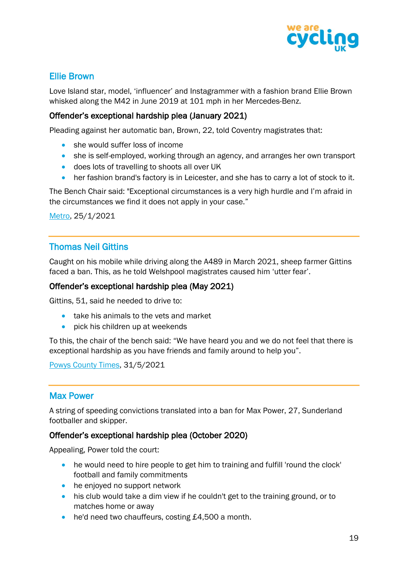

# <span id="page-19-0"></span>Ellie Brown

Love Island star, model, 'influencer' and Instagrammer with a fashion brand Ellie Brown whisked along the M42 in June 2019 at 101 mph in her Mercedes-Benz.

## Offender's exceptional hardship plea (January 2021)

Pleading against her automatic ban, Brown, 22, told Coventry magistrates that:

- she would suffer loss of income
- she is self-employed, working through an agency, and arranges her own transport
- does lots of travelling to shoots all over UK
- her fashion brand's factory is in Leicester, and she has to carry a lot of stock to it.

The Bench Chair said: "Exceptional circumstances is a very high hurdle and I'm afraid in the circumstances we find it does not apply in your case."

[Metro,](https://metro.co.uk/2021/01/25/love-island-star-ellie-brown-handed-road-ban-after-speeding-at-101mph-13963678/) 25/1/2021

# <span id="page-19-1"></span>Thomas Neil Gittins

Caught on his mobile while driving along the A489 in March 2021, sheep farmer Gittins faced a ban. This, as he told Welshpool magistrates caused him 'utter fear'.

#### Offender's exceptional hardship plea (May 2021)

Gittins, 51, said he needed to drive to:

- take his animals to the vets and market
- pick his children up at weekends

To this, the chair of the bench said: "We have heard you and we do not feel that there is exceptional hardship as you have friends and family around to help you".

[Powys County Times,](https://www.countytimes.co.uk/news/19336839.six-month-road-ban-chirbury-farmer-illegal-phone-use/) 31/5/2021

# <span id="page-19-2"></span>Max Power

A string of speeding convictions translated into a ban for Max Power, 27, Sunderland footballer and skipper.

#### Offender's exceptional hardship plea (October 2020)

Appealing, Power told the court:

- he would need to hire people to get him to training and fulfill 'round the clock' football and family commitments
- he enjoyed no support network
- his club would take a dim view if he couldn't get to the training ground, or to matches home or away
- he'd need two chauffeurs, costing £4,500 a month.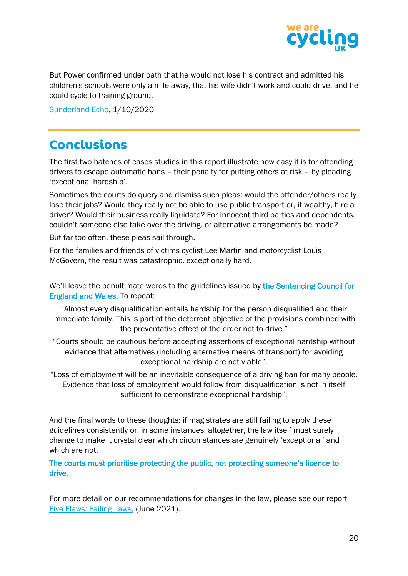

But Power confirmed under oath that he would not lose his contract and admitted his children's schools were only a mile away, that his wife didn't work and could drive, and he could cycle to training ground.

[Sunderland Echo,](https://www.sunderlandecho.com/news/crime/safc-skipper-max-power-banned-driving-after-losing-hardship-bid-keep-licence-2990071) 1/10/2020

# <span id="page-20-0"></span>**Conclusions**

The first two batches of cases studies in this report illustrate how easy it is for offending drivers to escape automatic bans – their penalty for putting others at risk – by pleading 'exceptional hardship'.

Sometimes the courts do query and dismiss such pleas: would the offender/others really lose their jobs? Would they really not be able to use public transport or, if wealthy, hire a driver? Would their business really liquidate? For innocent third parties and dependents, couldn't someone else take over the driving, or alternative arrangements be made?

But far too often, these pleas sail through.

For the families and friends of victims cyclist Lee Martin and motorcyclist Louis McGovern, the result was catastrophic, exceptionally hard.

We'll leave the penultimate words to the guidelines issued by the Sentencing Council for [England and Wales.](file:///C:/Users/Cherry/Documents/Cycling%20UK/sentencingcouncil.org.uk/explanatory-material/magistrates-court/item/road-traffic-offences-disqualification/3-totting-up-disqualification/) To repeat:

"Almost every disqualification entails hardship for the person disqualified and their immediate family. This is part of the deterrent objective of the provisions combined with the preventative effect of the order not to drive."

"Courts should be cautious before accepting assertions of exceptional hardship without evidence that alternatives (including alternative means of transport) for avoiding exceptional hardship are not viable".

"Loss of employment will be an inevitable consequence of a driving ban for many people. Evidence that loss of employment would follow from disqualification is not in itself sufficient to demonstrate exceptional hardship".

And the final words to these thoughts: if magistrates are still failing to apply these guidelines consistently or, in some instances, altogether, the law itself must surely change to make it crystal clear which circumstances are genuinely 'exceptional' and which are not.

The courts must prioritise protecting the public, not protecting someone's licence to drive.

For more detail on our recommendations for changes in the law, please see our report [Five Flaws: Failing Laws,](https://www.cyclinguk.org/sites/default/files/document/2021/06/2106_cyclinguk_five-flaws-failing-laws_final_1.pdf) (June 2021).